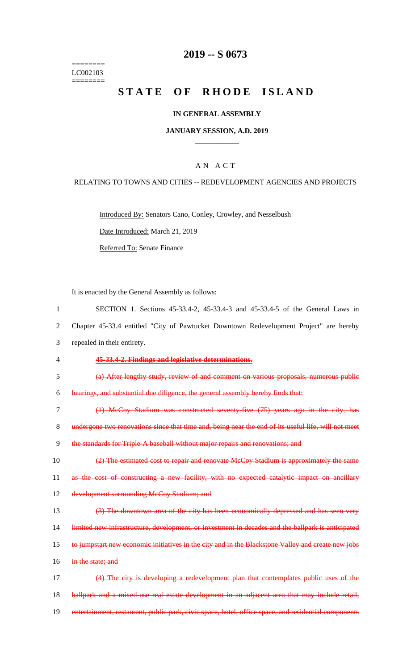======== LC002103  $=$ 

# **2019 -- S 0673**

# STATE OF RHODE ISLAND

# **IN GENERAL ASSEMBLY**

#### **JANUARY SESSION, A.D. 2019 \_\_\_\_\_\_\_\_\_\_\_\_**

## A N A C T

#### RELATING TO TOWNS AND CITIES -- REDEVELOPMENT AGENCIES AND PROJECTS

Introduced By: Senators Cano, Conley, Crowley, and Nesselbush

Date Introduced: March 21, 2019

Referred To: Senate Finance

It is enacted by the General Assembly as follows:

| $\mathbf{1}$   | SECTION 1. Sections 45-33.4-2, 45-33.4-3 and 45-33.4-5 of the General Laws in                        |
|----------------|------------------------------------------------------------------------------------------------------|
| 2              | Chapter 45-33.4 entitled "City of Pawtucket Downtown Redevelopment Project" are hereby               |
| 3              | repealed in their entirety.                                                                          |
| $\overline{4}$ | 45-33.4-2. Findings and legislative determinations.                                                  |
| 5              | (a) After lengthy study, review of and comment on various proposals, numerous public                 |
| 6              | hearings, and substantial due diligence, the general assembly hereby finds that:                     |
| $\tau$         | (1) McCoy Stadium was constructed seventy five (75) years ago in the city, has                       |
| 8              | undergone two renovations since that time and, being near the end of its useful life, will not meet  |
| 9              | the standards for Triple-A baseball without major repairs and renovations; and                       |
| 10             | (2) The estimated cost to repair and renovate McCoy Stadium is approximately the same                |
| 11             | as the cost of constructing a new facility, with no expected catalytic impact on ancillary           |
| 12             | development surrounding McCoy Stadium; and                                                           |
| 13             | (3) The downtown area of the city has been economically depressed and has seen very                  |
| 14             | limited new infrastructure, development, or investment in decades and the ballpark is anticipated    |
| 15             | to jumpstart new economic initiatives in the city and in the Blackstone Valley and create new jobs   |
| 16             | in the state; and                                                                                    |
| 17             | (4) The city is developing a redevelopment plan that contemplates public uses of the                 |
| 18             | ballpark and a mixed use real estate development in an adjacent area that may include retail,        |
| 19             | entertainment, restaurant, public park, civic space, hotel, office space, and residential components |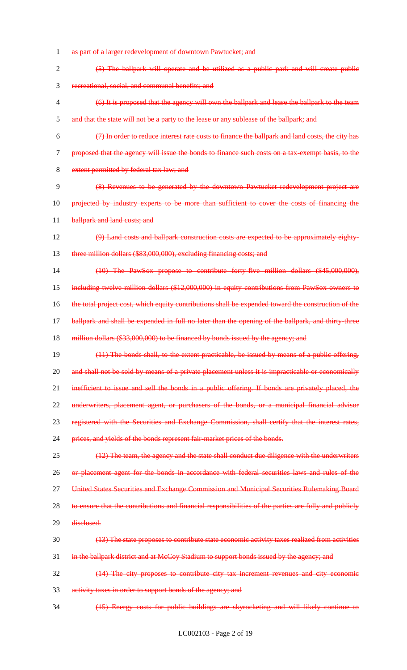as part of a larger redevelopment of downtown Pawtucket; and (5) The ballpark will operate and be utilized as a public park and will create public recreational, social, and communal benefits; and (6) It is proposed that the agency will own the ballpark and lease the ballpark to the team and that the state will not be a party to the lease or any sublease of the ballpark; and (7) In order to reduce interest rate costs to finance the ballpark and land costs, the city has proposed that the agency will issue the bonds to finance such costs on a tax-exempt basis, to the 8 extent permitted by federal tax law; and (8) Revenues to be generated by the downtown Pawtucket redevelopment project are 10 projected by industry experts to be more than sufficient to cover the costs of financing the 11 ballpark and land costs; and (9) Land costs and ballpark construction costs are expected to be approximately eighty- three million dollars (\$83,000,000), excluding financing costs; and (10) The PawSox propose to contribute forty-five million dollars (\$45,000,000), including twelve million dollars (\$12,000,000) in equity contributions from PawSox owners to the total project cost, which equity contributions shall be expended toward the construction of the ballpark and shall be expended in full no later than the opening of the ballpark, and thirty-three 18 million dollars (\$33,000,000) to be financed by bonds issued by the agency; and (11) The bonds shall, to the extent practicable, be issued by means of a public offering, 20 and shall not be sold by means of a private placement unless it is impracticable or economically 21 inefficient to issue and sell the bonds in a public offering. If bonds are privately placed, the 22 underwriters, placement agent, or purchasers of the bonds, or a municipal financial advisor registered with the Securities and Exchange Commission, shall certify that the interest rates, prices, and yields of the bonds represent fair-market prices of the bonds. 25 (12) The team, the agency and the state shall conduct due diligence with the underwriters 26 or placement agent for the bonds in accordance with federal securities laws and rules of the United States Securities and Exchange Commission and Municipal Securities Rulemaking Board 28 to ensure that the contributions and financial responsibilities of the parties are fully and publicly 29 disclosed. (13) The state proposes to contribute state economic activity taxes realized from activities 31 in the ballpark district and at McCoy Stadium to support bonds issued by the agency; and (14) The city proposes to contribute city tax increment revenues and city economic activity taxes in order to support bonds of the agency; and (15) Energy costs for public buildings are skyrocketing and will likely continue to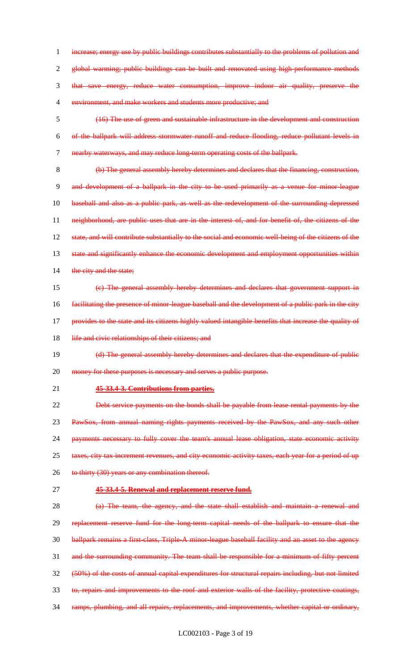increase; energy use by public buildings contributes substantially to the problems of pollution and global warming; public buildings can be built and renovated using high-performance methods that save energy, reduce water consumption, improve indoor air quality, preserve the environment, and make workers and students more productive; and

 (16) The use of green and sustainable infrastructure in the development and construction of the ballpark will address stormwater runoff and reduce flooding, reduce pollutant levels in nearby waterways, and may reduce long-term operating costs of the ballpark.

 (b) The general assembly hereby determines and declares that the financing, construction, and development of a ballpark in the city to be used primarily as a venue for minor-league baseball and also as a public park, as well as the redevelopment of the surrounding depressed neighborhood, are public uses that are in the interest of, and for benefit of, the citizens of the 12 state, and will contribute substantially to the social and economic well-being of the citizens of the 13 state and significantly enhance the economic development and employment opportunities within 14 the city and the state;

 (c) The general assembly hereby determines and declares that government support in facilitating the presence of minor-league baseball and the development of a public park in the city provides to the state and its citizens highly valued intangible benefits that increase the quality of 18 life and civic relationships of their citizens; and

19 (d) The general assembly hereby determines and declares that the expenditure of public 20 money for these purposes is necessary and serves a public purpose.

**45-33.4-3. Contributions from parties.**

 Debt service payments on the bonds shall be payable from lease rental payments by the PawSox, from annual naming rights payments received by the PawSox, and any such other 24 payments necessary to fully cover the team's annual lease obligation, state economic activity 25 taxes, city tax increment revenues, and city economic activity taxes, each year for a period of up 26 to thirty (30) years or any combination thereof.

**45-33.4-5. Renewal and replacement reserve fund.**

 (a) The team, the agency, and the state shall establish and maintain a renewal and replacement reserve fund for the long-term capital needs of the ballpark to ensure that the 30 ballpark remains a first-class, Triple-A minor-league baseball facility and an asset to the agency 31 and the surrounding community. The team shall be responsible for a minimum of fifty percent (50%) of the costs of annual capital expenditures for structural repairs including, but not limited to, repairs and improvements to the roof and exterior walls of the facility, protective coatings, ramps, plumbing, and all repairs, replacements, and improvements, whether capital or ordinary,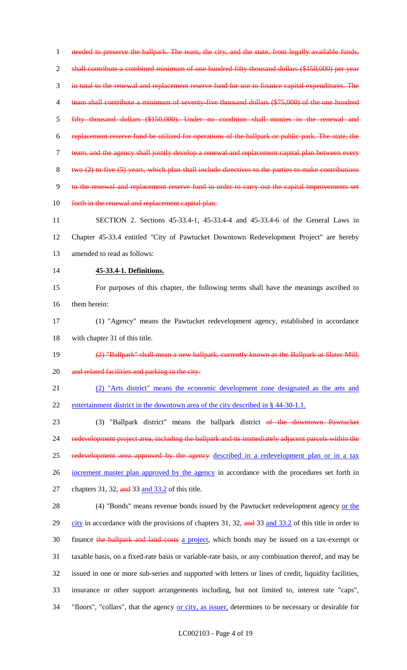1 needed to preserve the ballpark. The team, the city, and the state, from legally available funds, shall contribute a combined minimum of one hundred fifty thousand dollars (\$150,000) per year in total to the renewal and replacement reserve fund for use to finance capital expenditures. The team shall contribute a minimum of seventy-five thousand dollars (\$75,000) of the one hundred fifty thousand dollars (\$150,000). Under no condition shall monies in the renewal and replacement reserve fund be utilized for operations of the ballpark or public park. The state, the team, and the agency shall jointly develop a renewal and replacement capital plan between every two (2) to five (5) years, which plan shall include directives to the parties to make contributions to the renewal and replacement reserve fund in order to carry out the capital improvements set 10 forth in the renewal and replacement capital plan. SECTION 2. Sections 45-33.4-1, 45-33.4-4 and 45-33.4-6 of the General Laws in

 Chapter 45-33.4 entitled "City of Pawtucket Downtown Redevelopment Project" are hereby amended to read as follows:

#### **45-33.4-1. Definitions.**

 For purposes of this chapter, the following terms shall have the meanings ascribed to them herein:

 (1) "Agency" means the Pawtucket redevelopment agency, established in accordance with chapter 31 of this title.

(2) "Ballpark" shall mean a new ballpark, currently known as the Ballpark at Slater Mill,

20 and related facilities and parking in the city.

 (2) "Arts district" means the economic development zone designated as the arts and 22 entertainment district in the downtown area of the city described in § 44-30-1.1.

 (3) "Ballpark district" means the ballpark district of the downtown Pawtucket redevelopment project area, including the ballpark and its immediately adjacent parcels within the 25 redevelopment area approved by the agency described in a redevelopment plan or in a tax 26 increment master plan approved by the agency in accordance with the procedures set forth in 27 chapters 31, 32, and 33 and 33.2 of this title.

28 (4) "Bonds" means revenue bonds issued by the Pawtucket redevelopment agency or the 29 city in accordance with the provisions of chapters 31, 32, and 33 and 33.2 of this title in order to 30 finance the ballpark and land costs a project, which bonds may be issued on a tax-exempt or taxable basis, on a fixed-rate basis or variable-rate basis, or any combination thereof, and may be issued in one or more sub-series and supported with letters or lines of credit, liquidity facilities, insurance or other support arrangements including, but not limited to, interest rate "caps", 34 "floors", "collars", that the agency or city, as issuer, determines to be necessary or desirable for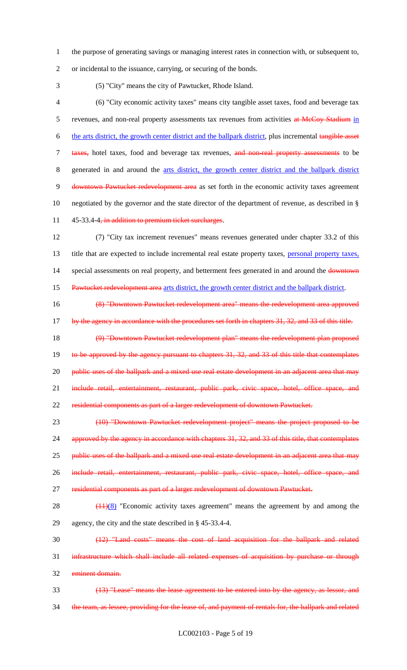1 the purpose of generating savings or managing interest rates in connection with, or subsequent to,

2 or incidental to the issuance, carrying, or securing of the bonds.

3 (5) "City" means the city of Pawtucket, Rhode Island.

4 (6) "City economic activity taxes" means city tangible asset taxes, food and beverage tax 5 revenues, and non-real property assessments tax revenues from activities at McCoy Stadium in 6 the arts district, the growth center district and the ballpark district, plus incremental tangible asset 7 taxes, hotel taxes, food and beverage tax revenues, and non-real property assessments to be 8 generated in and around the arts district, the growth center district and the ballpark district 9 downtown Pawtucket redevelopment area as set forth in the economic activity taxes agreement 10 negotiated by the governor and the state director of the department of revenue, as described in § 11 45-33.4-4, in addition to premium ticket surcharges.

12 (7) "City tax increment revenues" means revenues generated under chapter 33.2 of this 13 title that are expected to include incremental real estate property taxes, personal property taxes, 14 special assessments on real property, and betterment fees generated in and around the downtown

15 Pawtucket redevelopment area arts district, the growth center district and the ballpark district.

16 (8) "Downtown Pawtucket redevelopment area" means the redevelopment area approved 17 by the agency in accordance with the procedures set forth in chapters 31, 32, and 33 of this title.

18 (9) "Downtown Pawtucket redevelopment plan" means the redevelopment plan proposed 19 to be approved by the agency pursuant to chapters 31, 32, and 33 of this title that contemplates 20 public uses of the ballpark and a mixed use real estate development in an adjacent area that may 21 include retail, entertainment, restaurant, public park, civic space, hotel, office space, and 22 residential components as part of a larger redevelopment of downtown Pawtucket.

23 (10) "Downtown Pawtucket redevelopment project" means the project proposed to be 24 approved by the agency in accordance with chapters 31, 32, and 33 of this title, that contemplates 25 public uses of the ballpark and a mixed use real estate development in an adjacent area that may 26 include retail, entertainment, restaurant, public park, civic space, hotel, office space, and 27 residential components as part of a larger redevelopment of downtown Pawtucket.

- 28  $(11)(8)$  "Economic activity taxes agreement" means the agreement by and among the 29 agency, the city and the state described in § 45-33.4-4.
- 30 (12) "Land costs" means the cost of land acquisition for the ballpark and related 31 infrastructure which shall include all related expenses of acquisition by purchase or through 32 eminent domain.
- 33 (13) "Lease" means the lease agreement to be entered into by the agency, as lessor, and 34 the team, as lessee, providing for the lease of, and payment of rentals for, the ballpark and related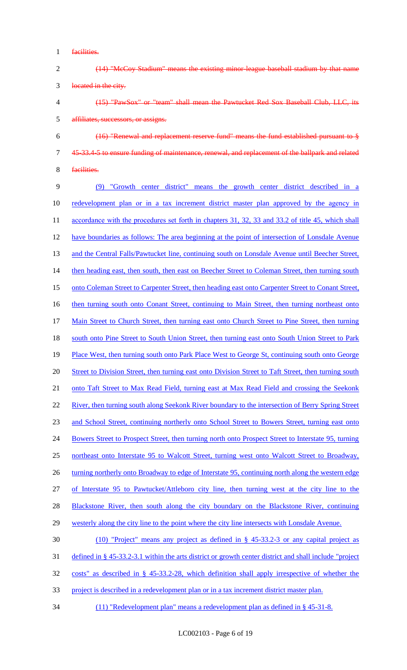- 1 facilities.
- 2 (14) "McCoy Stadium" means the existing minor-league baseball stadium by that name 3 located in the city.
- 4 (15) "PawSox" or "team" shall mean the Pawtucket Red Sox Baseball Club, LLC, its 5 affiliates, successors, or assigns.
- 6 (16) "Renewal and replacement reserve fund" means the fund established pursuant to § 7 45-33.4-5 to ensure funding of maintenance, renewal, and replacement of the ballpark and related
- 8 facilities.

9 (9) "Growth center district" means the growth center district described in a 10 redevelopment plan or in a tax increment district master plan approved by the agency in 11 accordance with the procedures set forth in chapters 31, 32, 33 and 33.2 of title 45, which shall 12 have boundaries as follows: The area beginning at the point of intersection of Lonsdale Avenue 13 and the Central Falls/Pawtucket line, continuing south on Lonsdale Avenue until Beecher Street, 14 then heading east, then south, then east on Beecher Street to Coleman Street, then turning south 15 onto Coleman Street to Carpenter Street, then heading east onto Carpenter Street to Conant Street, 16 then turning south onto Conant Street, continuing to Main Street, then turning northeast onto 17 Main Street to Church Street, then turning east onto Church Street to Pine Street, then turning 18 south onto Pine Street to South Union Street, then turning east onto South Union Street to Park 19 Place West, then turning south onto Park Place West to George St, continuing south onto George 20 Street to Division Street, then turning east onto Division Street to Taft Street, then turning south 21 onto Taft Street to Max Read Field, turning east at Max Read Field and crossing the Seekonk 22 River, then turning south along Seekonk River boundary to the intersection of Berry Spring Street 23 and School Street, continuing northerly onto School Street to Bowers Street, turning east onto 24 Bowers Street to Prospect Street, then turning north onto Prospect Street to Interstate 95, turning 25 northeast onto Interstate 95 to Walcott Street, turning west onto Walcott Street to Broadway, 26 turning northerly onto Broadway to edge of Interstate 95, continuing north along the western edge 27 of Interstate 95 to Pawtucket/Attleboro city line, then turning west at the city line to the 28 Blackstone River, then south along the city boundary on the Blackstone River, continuing 29 westerly along the city line to the point where the city line intersects with Lonsdale Avenue. 30 (10) "Project" means any project as defined in § 45-33.2-3 or any capital project as

- 31 defined in § 45-33.2-3.1 within the arts district or growth center district and shall include "project
- 32 costs" as described in § 45-33.2-28, which definition shall apply irrespective of whether the
- 33 project is described in a redevelopment plan or in a tax increment district master plan.
- 34 (11) "Redevelopment plan" means a redevelopment plan as defined in § 45-31-8.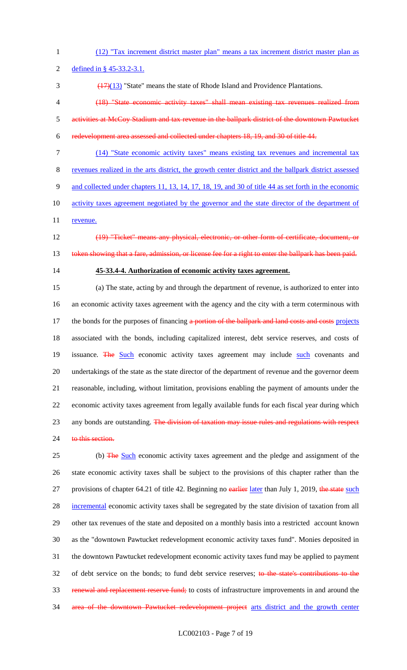1 (12) "Tax increment district master plan" means a tax increment district master plan as

2 defined in § 45-33.2-3.1.

 $\frac{(17)(13)}{2}$  "State" means the state of Rhode Island and Providence Plantations.

- 4 (18) "State economic activity taxes" shall mean existing tax revenues realized from 5 activities at McCoy Stadium and tax revenue in the ballpark district of the downtown Pawtucket
- 6 redevelopment area assessed and collected under chapters 18, 19, and 30 of title 44.
- 7 (14) "State economic activity taxes" means existing tax revenues and incremental tax

8 revenues realized in the arts district, the growth center district and the ballpark district assessed

- 9 and collected under chapters 11, 13, 14, 17, 18, 19, and 30 of title 44 as set forth in the economic
- 10 activity taxes agreement negotiated by the governor and the state director of the department of
- 11 revenue.
- 

12 (19) "Ticket" means any physical, electronic, or other form of certificate, document, or

- 13 token showing that a fare, admission, or license fee for a right to enter the ballpark has been paid.
- 

# 14 **45-33.4-4. Authorization of economic activity taxes agreement.**

15 (a) The state, acting by and through the department of revenue, is authorized to enter into 16 an economic activity taxes agreement with the agency and the city with a term coterminous with 17 the bonds for the purposes of financing a portion of the ballpark and land costs and costs projects 18 associated with the bonds, including capitalized interest, debt service reserves, and costs of 19 issuance. The Such economic activity taxes agreement may include such covenants and 20 undertakings of the state as the state director of the department of revenue and the governor deem 21 reasonable, including, without limitation, provisions enabling the payment of amounts under the 22 economic activity taxes agreement from legally available funds for each fiscal year during which 23 any bonds are outstanding. The division of taxation may issue rules and regulations with respect 24 to this section.

25 (b) The Such economic activity taxes agreement and the pledge and assignment of the 26 state economic activity taxes shall be subject to the provisions of this chapter rather than the 27 provisions of chapter 64.21 of title 42. Beginning no earlier later than July 1, 2019, the state such 28 incremental economic activity taxes shall be segregated by the state division of taxation from all 29 other tax revenues of the state and deposited on a monthly basis into a restricted account known 30 as the "downtown Pawtucket redevelopment economic activity taxes fund". Monies deposited in 31 the downtown Pawtucket redevelopment economic activity taxes fund may be applied to payment 32 of debt service on the bonds; to fund debt service reserves; to the state's contributions to the 33 renewal and replacement reserve fund; to costs of infrastructure improvements in and around the 34 area of the downtown Pawtucket redevelopment project arts district and the growth center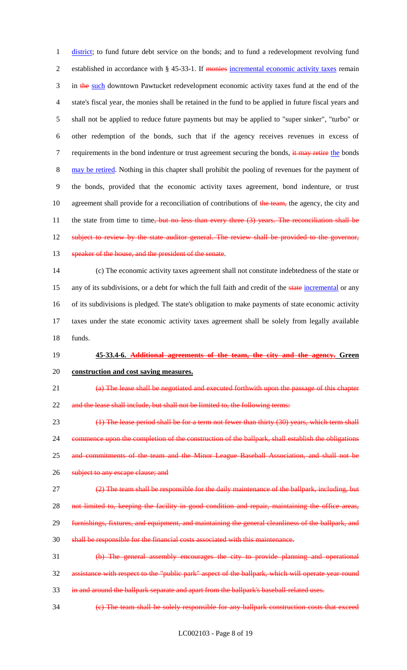1 district; to fund future debt service on the bonds; and to fund a redevelopment revolving fund 2 established in accordance with § 45-33-1. If monies incremental economic activity taxes remain 3 in the such downtown Pawtucket redevelopment economic activity taxes fund at the end of the 4 state's fiscal year, the monies shall be retained in the fund to be applied in future fiscal years and 5 shall not be applied to reduce future payments but may be applied to "super sinker", "turbo" or 6 other redemption of the bonds, such that if the agency receives revenues in excess of 7 requirements in the bond indenture or trust agreement securing the bonds, it may retire the bonds 8 may be retired. Nothing in this chapter shall prohibit the pooling of revenues for the payment of 9 the bonds, provided that the economic activity taxes agreement, bond indenture, or trust 10 agreement shall provide for a reconciliation of contributions of the team, the agency, the city and 11 the state from time to time, but no less than every three (3) years. The reconciliation shall be 12 subject to review by the state auditor general. The review shall be provided to the governor, 13 speaker of the house, and the president of the senate.

14 (c) The economic activity taxes agreement shall not constitute indebtedness of the state or 15 any of its subdivisions, or a debt for which the full faith and credit of the state incremental or any 16 of its subdivisions is pledged. The state's obligation to make payments of state economic activity 17 taxes under the state economic activity taxes agreement shall be solely from legally available 18 funds.

#### 19 **45-33.4-6. Additional agreements of the team, the city and the agency. Green**

#### 20 **construction and cost saving measures.**

21 (a) The lease shall be negotiated and executed forthwith upon the passage of this chapter 22 and the lease shall include, but shall not be limited to, the following terms:

23 (1) The lease period shall be for a term not fewer than thirty (30) years, which term shall 24 commence upon the completion of the construction of the ballpark, shall establish the obligations 25 and commitments of the team and the Minor League Baseball Association, and shall not be 26 subject to any escape clause; and

27 (2) The team shall be responsible for the daily maintenance of the ballpark, including, but

28 not limited to, keeping the facility in good condition and repair, maintaining the office areas,

- 29 furnishings, fixtures, and equipment, and maintaining the general cleanliness of the ballpark, and
- 30 shall be responsible for the financial costs associated with this maintenance.

31 (b) The general assembly encourages the city to provide planning and operational 32 assistance with respect to the "public park" aspect of the ballpark, which will operate year-round 33 in and around the ballpark separate and apart from the ballpark's baseball-related uses.

34 (c) The team shall be solely responsible for any ballpark construction costs that exceed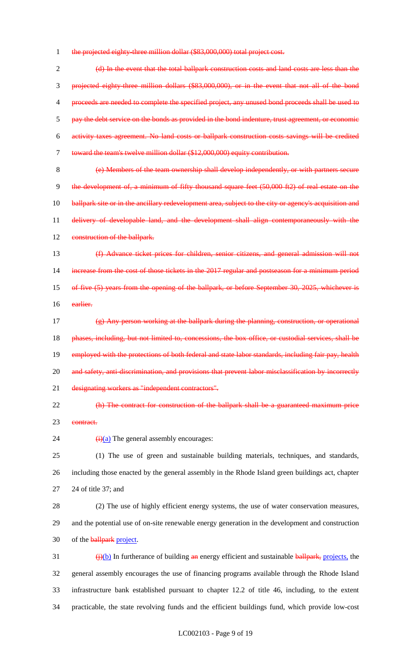1 the projected eighty-three million dollar (\$83,000,000) total project cost.

 (d) In the event that the total ballpark construction costs and land costs are less than the projected eighty-three million dollars (\$83,000,000), or in the event that not all of the bond 4 proceeds are needed to complete the specified project, any unused bond proceeds shall be used to 5 pay the debt service on the bonds as provided in the bond indenture, trust agreement, or economic activity taxes agreement. No land costs or ballpark construction costs savings will be credited toward the team's twelve million dollar (\$12,000,000) equity contribution.

8 (e) Members of the team ownership shall develop independently, or with partners secure 9 the development of, a minimum of fifty thousand square feet (50,000 ft2) of real estate on the 10 ballpark site or in the ancillary redevelopment area, subject to the city or agency's acquisition and 11 delivery of developable land, and the development shall align contemporaneously with the 12 construction of the ballpark.

13 (f) Advance ticket prices for children, senior citizens, and general admission will not 14 increase from the cost of those tickets in the 2017 regular and postseason for a minimum period 15 of five (5) years from the opening of the ballpark, or before September 30, 2025, whichever is 16 earlier.

17 (g) Any person working at the ballpark during the planning, construction, or operational 18 phases, including, but not limited to, concessions, the box office, or custodial services, shall be 19 employed with the protections of both federal and state labor standards, including fair pay, health 20 and safety, anti-discrimination, and provisions that prevent labor misclassification by incorrectly 21 designating workers as "independent contractors".

22 (h) The contract for construction of the ballpark shall be a guaranteed maximum price 23 contract.

24  $(i)(a)$  The general assembly encourages:

25 (1) The use of green and sustainable building materials, techniques, and standards, 26 including those enacted by the general assembly in the Rhode Island green buildings act, chapter 27 24 of title 37; and

28 (2) The use of highly efficient energy systems, the use of water conservation measures, 29 and the potential use of on-site renewable energy generation in the development and construction 30 of the **ballpark** project.

 $\frac{1}{2}$  (i)(b) In furtherance of building an energy efficient and sustainable ballpark, projects, the general assembly encourages the use of financing programs available through the Rhode Island infrastructure bank established pursuant to chapter 12.2 of title 46, including, to the extent practicable, the state revolving funds and the efficient buildings fund, which provide low-cost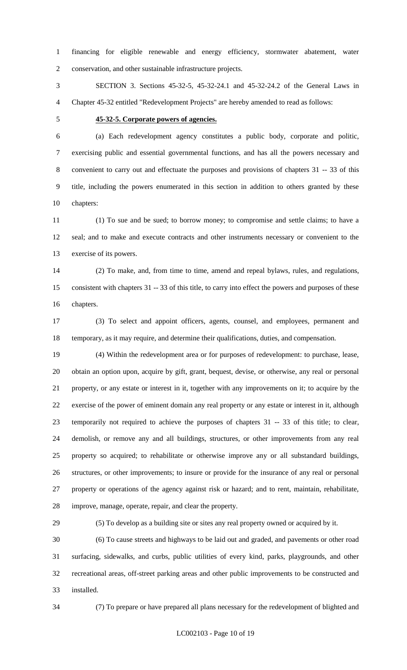financing for eligible renewable and energy efficiency, stormwater abatement, water conservation, and other sustainable infrastructure projects.

 SECTION 3. Sections 45-32-5, 45-32-24.1 and 45-32-24.2 of the General Laws in Chapter 45-32 entitled "Redevelopment Projects" are hereby amended to read as follows:

#### **45-32-5. Corporate powers of agencies.**

 (a) Each redevelopment agency constitutes a public body, corporate and politic, exercising public and essential governmental functions, and has all the powers necessary and convenient to carry out and effectuate the purposes and provisions of chapters 31 -- 33 of this title, including the powers enumerated in this section in addition to others granted by these chapters:

 (1) To sue and be sued; to borrow money; to compromise and settle claims; to have a seal; and to make and execute contracts and other instruments necessary or convenient to the exercise of its powers.

 (2) To make, and, from time to time, amend and repeal bylaws, rules, and regulations, consistent with chapters 31 -- 33 of this title, to carry into effect the powers and purposes of these chapters.

 (3) To select and appoint officers, agents, counsel, and employees, permanent and temporary, as it may require, and determine their qualifications, duties, and compensation.

 (4) Within the redevelopment area or for purposes of redevelopment: to purchase, lease, obtain an option upon, acquire by gift, grant, bequest, devise, or otherwise, any real or personal property, or any estate or interest in it, together with any improvements on it; to acquire by the exercise of the power of eminent domain any real property or any estate or interest in it, although temporarily not required to achieve the purposes of chapters 31 -- 33 of this title; to clear, demolish, or remove any and all buildings, structures, or other improvements from any real property so acquired; to rehabilitate or otherwise improve any or all substandard buildings, structures, or other improvements; to insure or provide for the insurance of any real or personal property or operations of the agency against risk or hazard; and to rent, maintain, rehabilitate, improve, manage, operate, repair, and clear the property.

(5) To develop as a building site or sites any real property owned or acquired by it.

 (6) To cause streets and highways to be laid out and graded, and pavements or other road surfacing, sidewalks, and curbs, public utilities of every kind, parks, playgrounds, and other recreational areas, off-street parking areas and other public improvements to be constructed and installed.

(7) To prepare or have prepared all plans necessary for the redevelopment of blighted and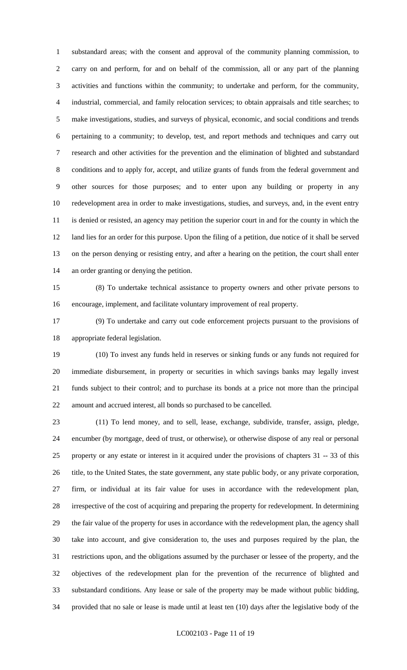substandard areas; with the consent and approval of the community planning commission, to carry on and perform, for and on behalf of the commission, all or any part of the planning activities and functions within the community; to undertake and perform, for the community, industrial, commercial, and family relocation services; to obtain appraisals and title searches; to make investigations, studies, and surveys of physical, economic, and social conditions and trends pertaining to a community; to develop, test, and report methods and techniques and carry out research and other activities for the prevention and the elimination of blighted and substandard conditions and to apply for, accept, and utilize grants of funds from the federal government and other sources for those purposes; and to enter upon any building or property in any redevelopment area in order to make investigations, studies, and surveys, and, in the event entry is denied or resisted, an agency may petition the superior court in and for the county in which the land lies for an order for this purpose. Upon the filing of a petition, due notice of it shall be served on the person denying or resisting entry, and after a hearing on the petition, the court shall enter an order granting or denying the petition.

 (8) To undertake technical assistance to property owners and other private persons to encourage, implement, and facilitate voluntary improvement of real property.

 (9) To undertake and carry out code enforcement projects pursuant to the provisions of appropriate federal legislation.

 (10) To invest any funds held in reserves or sinking funds or any funds not required for immediate disbursement, in property or securities in which savings banks may legally invest funds subject to their control; and to purchase its bonds at a price not more than the principal amount and accrued interest, all bonds so purchased to be cancelled.

 (11) To lend money, and to sell, lease, exchange, subdivide, transfer, assign, pledge, encumber (by mortgage, deed of trust, or otherwise), or otherwise dispose of any real or personal property or any estate or interest in it acquired under the provisions of chapters 31 -- 33 of this title, to the United States, the state government, any state public body, or any private corporation, firm, or individual at its fair value for uses in accordance with the redevelopment plan, irrespective of the cost of acquiring and preparing the property for redevelopment. In determining the fair value of the property for uses in accordance with the redevelopment plan, the agency shall take into account, and give consideration to, the uses and purposes required by the plan, the restrictions upon, and the obligations assumed by the purchaser or lessee of the property, and the objectives of the redevelopment plan for the prevention of the recurrence of blighted and substandard conditions. Any lease or sale of the property may be made without public bidding, provided that no sale or lease is made until at least ten (10) days after the legislative body of the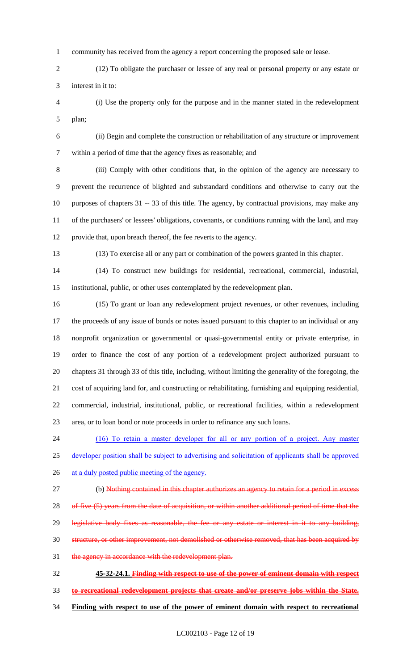community has received from the agency a report concerning the proposed sale or lease.

 (12) To obligate the purchaser or lessee of any real or personal property or any estate or interest in it to:

 (i) Use the property only for the purpose and in the manner stated in the redevelopment plan;

 (ii) Begin and complete the construction or rehabilitation of any structure or improvement within a period of time that the agency fixes as reasonable; and

 (iii) Comply with other conditions that, in the opinion of the agency are necessary to prevent the recurrence of blighted and substandard conditions and otherwise to carry out the purposes of chapters 31 -- 33 of this title. The agency, by contractual provisions, may make any of the purchasers' or lessees' obligations, covenants, or conditions running with the land, and may provide that, upon breach thereof, the fee reverts to the agency.

(13) To exercise all or any part or combination of the powers granted in this chapter.

 (14) To construct new buildings for residential, recreational, commercial, industrial, institutional, public, or other uses contemplated by the redevelopment plan.

 (15) To grant or loan any redevelopment project revenues, or other revenues, including the proceeds of any issue of bonds or notes issued pursuant to this chapter to an individual or any nonprofit organization or governmental or quasi-governmental entity or private enterprise, in order to finance the cost of any portion of a redevelopment project authorized pursuant to chapters 31 through 33 of this title, including, without limiting the generality of the foregoing, the cost of acquiring land for, and constructing or rehabilitating, furnishing and equipping residential, commercial, industrial, institutional, public, or recreational facilities, within a redevelopment area, or to loan bond or note proceeds in order to refinance any such loans.

 (16) To retain a master developer for all or any portion of a project. Any master developer position shall be subject to advertising and solicitation of applicants shall be approved 26 at a duly posted public meeting of the agency.

 (b) Nothing contained in this chapter authorizes an agency to retain for a period in excess 28 of five (5) years from the date of acquisition, or within another additional period of time that the legislative body fixes as reasonable, the fee or any estate or interest in it to any building, structure, or other improvement, not demolished or otherwise removed, that has been acquired by 31 the agency in accordance with the redevelopment plan.

 **45-32-24.1. Finding with respect to use of the power of eminent domain with respect to recreational redevelopment projects that create and/or preserve jobs within the State. Finding with respect to use of the power of eminent domain with respect to recreational**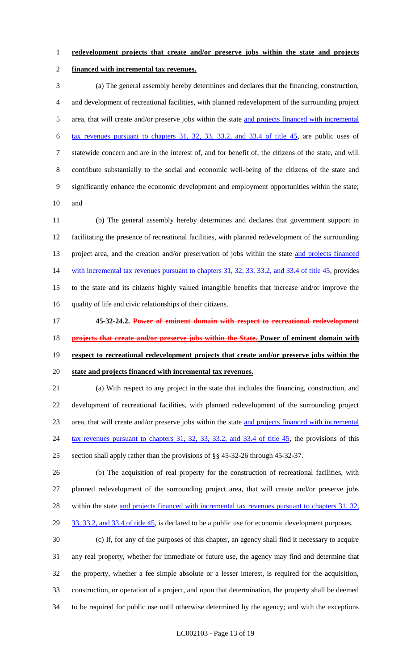#### **redevelopment projects that create and/or preserve jobs within the state and projects**

#### **financed with incremental tax revenues.**

 (a) The general assembly hereby determines and declares that the financing, construction, and development of recreational facilities, with planned redevelopment of the surrounding project 5 area, that will create and/or preserve jobs within the state and projects financed with incremental tax revenues pursuant to chapters 31, 32, 33, 33.2, and 33.4 of title 45, are public uses of statewide concern and are in the interest of, and for benefit of, the citizens of the state, and will contribute substantially to the social and economic well-being of the citizens of the state and significantly enhance the economic development and employment opportunities within the state; and

 (b) The general assembly hereby determines and declares that government support in facilitating the presence of recreational facilities, with planned redevelopment of the surrounding 13 project area, and the creation and/or preservation of jobs within the state and projects financed 14 with incremental tax revenues pursuant to chapters 31, 32, 33, 33.2, and 33.4 of title 45, provides to the state and its citizens highly valued intangible benefits that increase and/or improve the quality of life and civic relationships of their citizens.

 **45-32-24.2. Power of eminent domain with respect to recreational redevelopment projects that create and/or preserve jobs within the State. Power of eminent domain with respect to recreational redevelopment projects that create and/or preserve jobs within the state and projects financed with incremental tax revenues.**

 (a) With respect to any project in the state that includes the financing, construction, and development of recreational facilities, with planned redevelopment of the surrounding project area, that will create and/or preserve jobs within the state and projects financed with incremental 24 tax revenues pursuant to chapters 31, 32, 33, 33.2, and 33.4 of title 45, the provisions of this section shall apply rather than the provisions of §§ 45-32-26 through 45-32-37.

 (b) The acquisition of real property for the construction of recreational facilities, with planned redevelopment of the surrounding project area, that will create and/or preserve jobs 28 within the state and projects financed with incremental tax revenues pursuant to chapters 31, 32, 29 33, 33.2, and 33.4 of title 45, is declared to be a public use for economic development purposes.

 (c) If, for any of the purposes of this chapter, an agency shall find it necessary to acquire any real property, whether for immediate or future use, the agency may find and determine that the property, whether a fee simple absolute or a lesser interest, is required for the acquisition, construction, or operation of a project, and upon that determination, the property shall be deemed to be required for public use until otherwise determined by the agency; and with the exceptions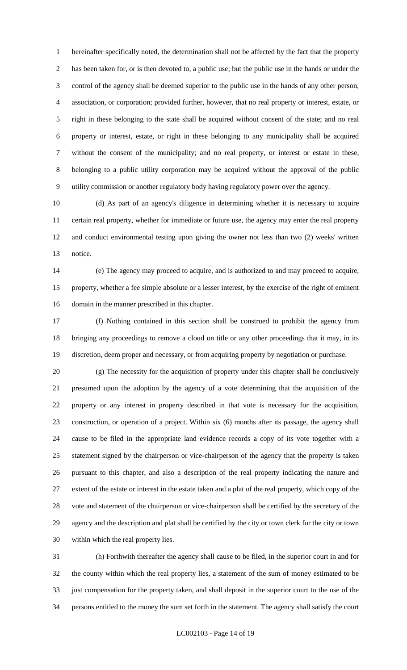hereinafter specifically noted, the determination shall not be affected by the fact that the property has been taken for, or is then devoted to, a public use; but the public use in the hands or under the control of the agency shall be deemed superior to the public use in the hands of any other person, association, or corporation; provided further, however, that no real property or interest, estate, or right in these belonging to the state shall be acquired without consent of the state; and no real property or interest, estate, or right in these belonging to any municipality shall be acquired without the consent of the municipality; and no real property, or interest or estate in these, belonging to a public utility corporation may be acquired without the approval of the public utility commission or another regulatory body having regulatory power over the agency.

 (d) As part of an agency's diligence in determining whether it is necessary to acquire certain real property, whether for immediate or future use, the agency may enter the real property and conduct environmental testing upon giving the owner not less than two (2) weeks' written notice.

 (e) The agency may proceed to acquire, and is authorized to and may proceed to acquire, property, whether a fee simple absolute or a lesser interest, by the exercise of the right of eminent domain in the manner prescribed in this chapter.

 (f) Nothing contained in this section shall be construed to prohibit the agency from bringing any proceedings to remove a cloud on title or any other proceedings that it may, in its discretion, deem proper and necessary, or from acquiring property by negotiation or purchase.

 (g) The necessity for the acquisition of property under this chapter shall be conclusively presumed upon the adoption by the agency of a vote determining that the acquisition of the property or any interest in property described in that vote is necessary for the acquisition, construction, or operation of a project. Within six (6) months after its passage, the agency shall cause to be filed in the appropriate land evidence records a copy of its vote together with a statement signed by the chairperson or vice-chairperson of the agency that the property is taken pursuant to this chapter, and also a description of the real property indicating the nature and extent of the estate or interest in the estate taken and a plat of the real property, which copy of the vote and statement of the chairperson or vice-chairperson shall be certified by the secretary of the agency and the description and plat shall be certified by the city or town clerk for the city or town within which the real property lies.

 (h) Forthwith thereafter the agency shall cause to be filed, in the superior court in and for the county within which the real property lies, a statement of the sum of money estimated to be just compensation for the property taken, and shall deposit in the superior court to the use of the persons entitled to the money the sum set forth in the statement. The agency shall satisfy the court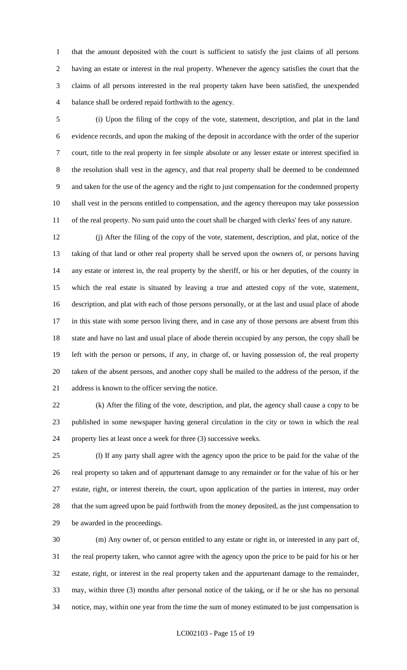that the amount deposited with the court is sufficient to satisfy the just claims of all persons having an estate or interest in the real property. Whenever the agency satisfies the court that the claims of all persons interested in the real property taken have been satisfied, the unexpended balance shall be ordered repaid forthwith to the agency.

 (i) Upon the filing of the copy of the vote, statement, description, and plat in the land evidence records, and upon the making of the deposit in accordance with the order of the superior court, title to the real property in fee simple absolute or any lesser estate or interest specified in the resolution shall vest in the agency, and that real property shall be deemed to be condemned and taken for the use of the agency and the right to just compensation for the condemned property shall vest in the persons entitled to compensation, and the agency thereupon may take possession of the real property. No sum paid unto the court shall be charged with clerks' fees of any nature.

 (j) After the filing of the copy of the vote, statement, description, and plat, notice of the taking of that land or other real property shall be served upon the owners of, or persons having any estate or interest in, the real property by the sheriff, or his or her deputies, of the county in which the real estate is situated by leaving a true and attested copy of the vote, statement, description, and plat with each of those persons personally, or at the last and usual place of abode in this state with some person living there, and in case any of those persons are absent from this state and have no last and usual place of abode therein occupied by any person, the copy shall be left with the person or persons, if any, in charge of, or having possession of, the real property taken of the absent persons, and another copy shall be mailed to the address of the person, if the address is known to the officer serving the notice.

 (k) After the filing of the vote, description, and plat, the agency shall cause a copy to be published in some newspaper having general circulation in the city or town in which the real property lies at least once a week for three (3) successive weeks.

 (l) If any party shall agree with the agency upon the price to be paid for the value of the real property so taken and of appurtenant damage to any remainder or for the value of his or her estate, right, or interest therein, the court, upon application of the parties in interest, may order that the sum agreed upon be paid forthwith from the money deposited, as the just compensation to be awarded in the proceedings.

 (m) Any owner of, or person entitled to any estate or right in, or interested in any part of, the real property taken, who cannot agree with the agency upon the price to be paid for his or her estate, right, or interest in the real property taken and the appurtenant damage to the remainder, may, within three (3) months after personal notice of the taking, or if he or she has no personal notice, may, within one year from the time the sum of money estimated to be just compensation is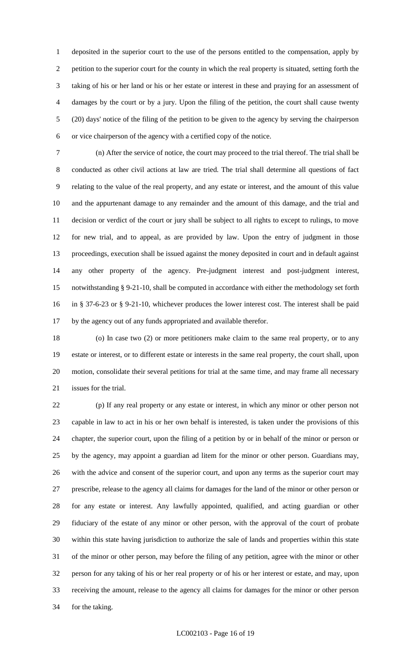deposited in the superior court to the use of the persons entitled to the compensation, apply by petition to the superior court for the county in which the real property is situated, setting forth the taking of his or her land or his or her estate or interest in these and praying for an assessment of damages by the court or by a jury. Upon the filing of the petition, the court shall cause twenty (20) days' notice of the filing of the petition to be given to the agency by serving the chairperson or vice chairperson of the agency with a certified copy of the notice.

 (n) After the service of notice, the court may proceed to the trial thereof. The trial shall be conducted as other civil actions at law are tried. The trial shall determine all questions of fact relating to the value of the real property, and any estate or interest, and the amount of this value and the appurtenant damage to any remainder and the amount of this damage, and the trial and decision or verdict of the court or jury shall be subject to all rights to except to rulings, to move for new trial, and to appeal, as are provided by law. Upon the entry of judgment in those proceedings, execution shall be issued against the money deposited in court and in default against any other property of the agency. Pre-judgment interest and post-judgment interest, notwithstanding § 9-21-10, shall be computed in accordance with either the methodology set forth in § 37-6-23 or § 9-21-10, whichever produces the lower interest cost. The interest shall be paid by the agency out of any funds appropriated and available therefor.

 (o) In case two (2) or more petitioners make claim to the same real property, or to any estate or interest, or to different estate or interests in the same real property, the court shall, upon motion, consolidate their several petitions for trial at the same time, and may frame all necessary issues for the trial.

 (p) If any real property or any estate or interest, in which any minor or other person not capable in law to act in his or her own behalf is interested, is taken under the provisions of this chapter, the superior court, upon the filing of a petition by or in behalf of the minor or person or by the agency, may appoint a guardian ad litem for the minor or other person. Guardians may, with the advice and consent of the superior court, and upon any terms as the superior court may prescribe, release to the agency all claims for damages for the land of the minor or other person or for any estate or interest. Any lawfully appointed, qualified, and acting guardian or other fiduciary of the estate of any minor or other person, with the approval of the court of probate within this state having jurisdiction to authorize the sale of lands and properties within this state of the minor or other person, may before the filing of any petition, agree with the minor or other person for any taking of his or her real property or of his or her interest or estate, and may, upon receiving the amount, release to the agency all claims for damages for the minor or other person for the taking.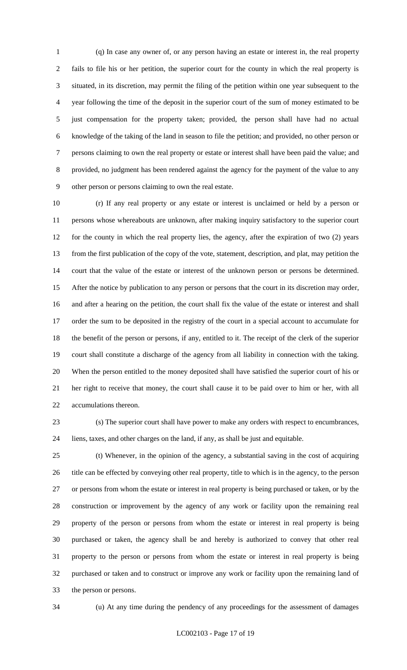(q) In case any owner of, or any person having an estate or interest in, the real property fails to file his or her petition, the superior court for the county in which the real property is situated, in its discretion, may permit the filing of the petition within one year subsequent to the year following the time of the deposit in the superior court of the sum of money estimated to be just compensation for the property taken; provided, the person shall have had no actual knowledge of the taking of the land in season to file the petition; and provided, no other person or persons claiming to own the real property or estate or interest shall have been paid the value; and provided, no judgment has been rendered against the agency for the payment of the value to any other person or persons claiming to own the real estate.

 (r) If any real property or any estate or interest is unclaimed or held by a person or persons whose whereabouts are unknown, after making inquiry satisfactory to the superior court for the county in which the real property lies, the agency, after the expiration of two (2) years from the first publication of the copy of the vote, statement, description, and plat, may petition the court that the value of the estate or interest of the unknown person or persons be determined. After the notice by publication to any person or persons that the court in its discretion may order, and after a hearing on the petition, the court shall fix the value of the estate or interest and shall order the sum to be deposited in the registry of the court in a special account to accumulate for the benefit of the person or persons, if any, entitled to it. The receipt of the clerk of the superior court shall constitute a discharge of the agency from all liability in connection with the taking. When the person entitled to the money deposited shall have satisfied the superior court of his or her right to receive that money, the court shall cause it to be paid over to him or her, with all accumulations thereon.

 (s) The superior court shall have power to make any orders with respect to encumbrances, liens, taxes, and other charges on the land, if any, as shall be just and equitable.

 (t) Whenever, in the opinion of the agency, a substantial saving in the cost of acquiring 26 title can be effected by conveying other real property, title to which is in the agency, to the person or persons from whom the estate or interest in real property is being purchased or taken, or by the construction or improvement by the agency of any work or facility upon the remaining real property of the person or persons from whom the estate or interest in real property is being purchased or taken, the agency shall be and hereby is authorized to convey that other real property to the person or persons from whom the estate or interest in real property is being purchased or taken and to construct or improve any work or facility upon the remaining land of the person or persons.

(u) At any time during the pendency of any proceedings for the assessment of damages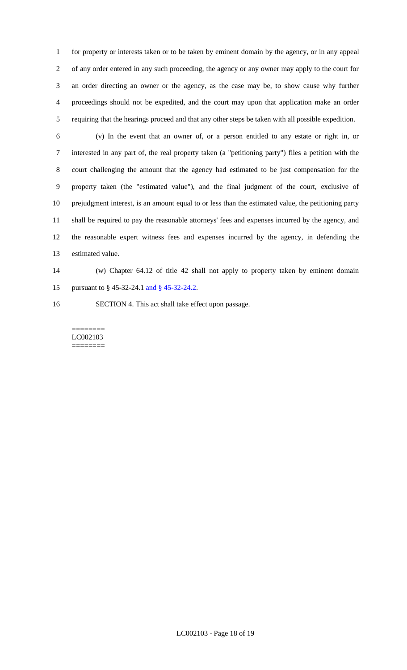for property or interests taken or to be taken by eminent domain by the agency, or in any appeal of any order entered in any such proceeding, the agency or any owner may apply to the court for an order directing an owner or the agency, as the case may be, to show cause why further proceedings should not be expedited, and the court may upon that application make an order requiring that the hearings proceed and that any other steps be taken with all possible expedition.

 (v) In the event that an owner of, or a person entitled to any estate or right in, or interested in any part of, the real property taken (a "petitioning party") files a petition with the court challenging the amount that the agency had estimated to be just compensation for the property taken (the "estimated value"), and the final judgment of the court, exclusive of prejudgment interest, is an amount equal to or less than the estimated value, the petitioning party shall be required to pay the reasonable attorneys' fees and expenses incurred by the agency, and the reasonable expert witness fees and expenses incurred by the agency, in defending the estimated value.

 (w) Chapter 64.12 of title 42 shall not apply to property taken by eminent domain 15 pursuant to § 45-32-24.1 and § 45-32-24.2.

SECTION 4. This act shall take effect upon passage.

======== LC002103 ========